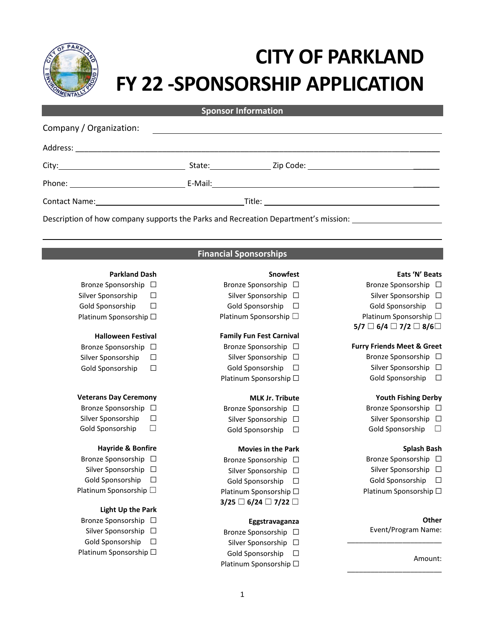

# **CITY OF PARKLAND FY 22 -SPONSORSHIP APPLICATION**

**Sponsor Information**

| Company / Organization:                                                                                                                                                                                                        |                                                                                    |  |
|--------------------------------------------------------------------------------------------------------------------------------------------------------------------------------------------------------------------------------|------------------------------------------------------------------------------------|--|
|                                                                                                                                                                                                                                |                                                                                    |  |
|                                                                                                                                                                                                                                |                                                                                    |  |
|                                                                                                                                                                                                                                |                                                                                    |  |
| Contact Name: Name and Secretary Annual Account of the Account of the Account of the Account of the Account of the Account of the Account of the Account of the Account of the Account of the Account of the Account of the Ac |                                                                                    |  |
|                                                                                                                                                                                                                                | Description of how company supports the Parks and Recreation Department's mission: |  |

# **Financial Sponsorships**

# **Eats 'N' Beats**

- Bronze Sponsorship □
- Silver Sponsorship □
- 
- Platinum Sponsorship □
- **5/7** ☐ **6/4** ☐ **7/2** ☐ **8/6**☐

# **Furry Friends Meet & Greet**

- Bronze Sponsorship □
	- Silver Sponsorship □
	- Gold Sponsorship □

# **Youth Fishing Derby**

- Bronze Sponsorship □
- Silver Sponsorship □
- Gold Sponsorship  $\Box$

# **Splash Bash**

- Bronze Sponsorship □
- Silver Sponsorship □
- Gold Sponsorship □
- Platinum Sponsorship □

# **Other**

Event/Program Name:

\_\_\_\_\_\_\_\_\_\_\_\_\_\_\_\_\_\_\_\_\_\_\_\_

\_\_\_\_\_\_\_\_\_\_\_\_\_\_\_\_\_\_\_\_\_\_\_\_

#### Amount:

# **Parkland Dash**

- Bronze Sponsorship □
- Silver Sponsorship □
- Gold Sponsorship □
- Platinum Sponsorship □

# **Halloween Festival**

- Bronze Sponsorship □
- Silver Sponsorship □
- Gold Sponsorship □

# **Veterans Day Ceremony**

- Bronze Sponsorship □
- Silver Sponsorship □
- Gold Sponsorship  $\Box$

# **Hayride & Bonfire**

- Bronze Sponsorship □
- Silver Sponsorship □
- Gold Sponsorship □
- Platinum Sponsorship □

# **Light Up the Park**

- Bronze Sponsorship □
- Silver Sponsorship □
- Gold Sponsorship □
- Platinum Sponsorship □

#### **Snowfest**

- Bronze Sponsorship □
- Silver Sponsorship □
- Gold Sponsorship □
- Platinum Sponsorship □

# **Family Fun Fest Carnival**

- Bronze Sponsorship □
- Silver Sponsorship □
- Gold Sponsorship □
- Platinum Sponsorship □

# **MLK Jr. Tribute**

- Bronze Sponsorship □
- Silver Sponsorship □
- Gold Sponsorship □

# **Movies in the Park**

- Bronze Sponsorship □ Silver Sponsorship □
- Gold Sponsorship □
- Platinum Sponsorship □
- **3/25** ☐ **6/24** ☐ **7/22** ☐

# **Eggstravaganza**

- Bronze Sponsorship □
- Silver Sponsorship □
- Gold Sponsorship □
- Platinum Sponsorship □

# Gold Sponsorship □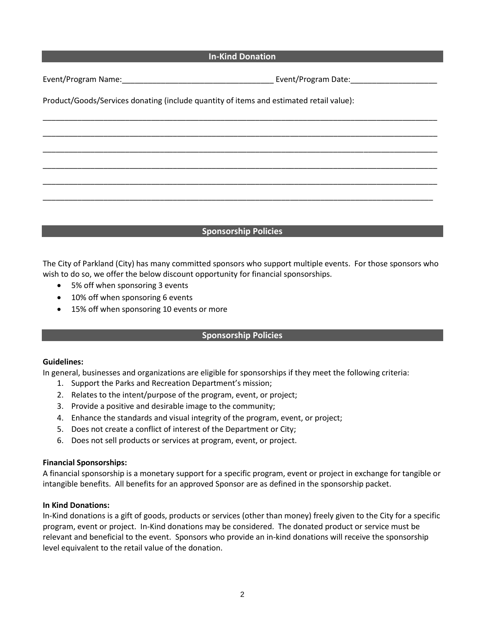# **In-Kind Donation**

\_\_\_\_\_\_\_\_\_\_\_\_\_\_\_\_\_\_\_\_\_\_\_\_\_\_\_\_\_\_\_\_\_\_\_\_\_\_\_\_\_\_\_\_\_\_\_\_\_\_\_\_\_\_\_\_\_\_\_\_\_\_\_\_\_\_\_\_\_\_\_\_\_\_\_\_\_\_\_\_\_\_\_\_\_\_\_\_\_\_\_

\_\_\_\_\_\_\_\_\_\_\_\_\_\_\_\_\_\_\_\_\_\_\_\_\_\_\_\_\_\_\_\_\_\_\_\_\_\_\_\_\_\_\_\_\_\_\_\_\_\_\_\_\_\_\_\_\_\_\_\_\_\_\_\_\_\_\_\_\_\_\_\_\_\_\_\_\_\_\_\_\_\_\_\_\_\_\_\_\_\_\_

\_\_\_\_\_\_\_\_\_\_\_\_\_\_\_\_\_\_\_\_\_\_\_\_\_\_\_\_\_\_\_\_\_\_\_\_\_\_\_\_\_\_\_\_\_\_\_\_\_\_\_\_\_\_\_\_\_\_\_\_\_\_\_\_\_\_\_\_\_\_\_\_\_\_\_\_\_\_\_\_\_\_\_\_\_\_\_\_\_\_\_

\_\_\_\_\_\_\_\_\_\_\_\_\_\_\_\_\_\_\_\_\_\_\_\_\_\_\_\_\_\_\_\_\_\_\_\_\_\_\_\_\_\_\_\_\_\_\_\_\_\_\_\_\_\_\_\_\_\_\_\_\_\_\_\_\_\_\_\_\_\_\_\_\_\_\_\_\_\_\_\_\_\_\_\_\_\_\_\_\_\_\_

\_\_\_\_\_\_\_\_\_\_\_\_\_\_\_\_\_\_\_\_\_\_\_\_\_\_\_\_\_\_\_\_\_\_\_\_\_\_\_\_\_\_\_\_\_\_\_\_\_\_\_\_\_\_\_\_\_\_\_\_\_\_\_\_\_\_\_\_\_\_\_\_\_\_\_\_\_\_\_\_\_\_\_\_\_\_\_\_\_\_\_

\_\_\_\_\_\_\_\_\_\_\_\_\_\_\_\_\_\_\_\_\_\_\_\_\_\_\_\_\_\_\_\_\_\_\_\_\_\_\_\_\_\_\_\_\_\_\_\_\_\_\_\_\_\_\_\_\_\_\_\_\_\_\_\_\_\_\_\_\_\_\_\_\_\_\_\_\_\_\_\_\_\_\_\_\_\_\_\_\_\_

Event/Program Name:\_\_\_\_\_\_\_\_\_\_\_\_\_\_\_\_\_\_\_\_\_\_\_\_\_\_\_\_\_\_\_\_\_\_\_ Event/Program Date:\_\_\_\_\_\_\_\_\_\_\_\_\_\_\_\_\_\_\_\_

Product/Goods/Services donating (include quantity of items and estimated retail value):

# **Sponsorship Policies**

The City of Parkland (City) has many committed sponsors who support multiple events. For those sponsors who wish to do so, we offer the below discount opportunity for financial sponsorships.

- 5% off when sponsoring 3 events
- 10% off when sponsoring 6 events
- 15% off when sponsoring 10 events or more

# **Sponsorship Policies**

# **Guidelines:**

In general, businesses and organizations are eligible for sponsorships if they meet the following criteria:

- 1. Support the Parks and Recreation Department's mission;
- 2. Relates to the intent/purpose of the program, event, or project;
- 3. Provide a positive and desirable image to the community;
- 4. Enhance the standards and visual integrity of the program, event, or project;
- 5. Does not create a conflict of interest of the Department or City;
- 6. Does not sell products or services at program, event, or project.

# **Financial Sponsorships:**

A financial sponsorship is a monetary support for a specific program, event or project in exchange for tangible or intangible benefits. All benefits for an approved Sponsor are as defined in the sponsorship packet.

# **In Kind Donations:**

In-Kind donations is a gift of goods, products or services (other than money) freely given to the City for a specific program, event or project. In-Kind donations may be considered. The donated product or service must be relevant and beneficial to the event. Sponsors who provide an in-kind donations will receive the sponsorship level equivalent to the retail value of the donation.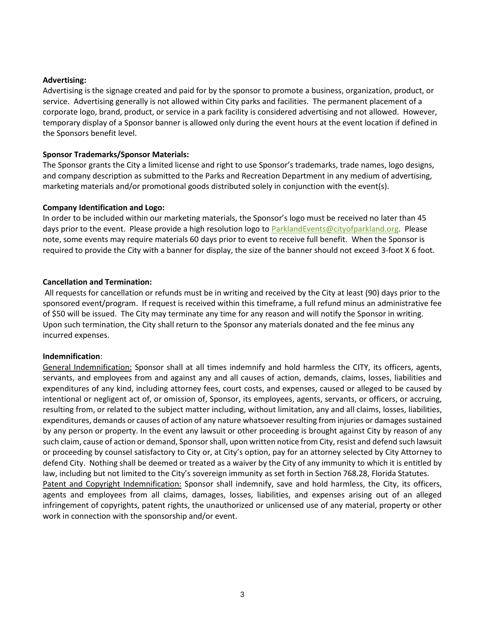# **Advertising:**

Advertising is the signage created and paid for by the sponsor to promote a business, organization, product, or service. Advertising generally is not allowed within City parks and facilities. The permanent placement of a corporate logo, brand, product, or service in a park facility is considered advertising and not allowed. However, temporary display of a Sponsor banner is allowed only during the event hours at the event location if defined in the Sponsors benefit level.

# **Sponsor Trademarks/Sponsor Materials:**

The Sponsor grants the City a limited license and right to use Sponsor's trademarks, trade names, logo designs, and company description as submitted to the Parks and Recreation Department in any medium of advertising, marketing materials and/or promotional goods distributed solely in conjunction with the event(s).

# **Company Identification and Logo:**

In order to be included within our marketing materials, the Sponsor's logo must be received no later than 45 days prior to the event. Please provide a high resolution logo t[o ParklandEvents@cityofparkland.org.](mailto:ParklandEvents@cityofparkland.org) Please note, some events may require materials 60 days prior to event to receive full benefit. When the Sponsor is required to provide the City with a banner for display, the size of the banner should not exceed 3-foot X 6 foot.

# **Cancellation and Termination:**

All requests for cancellation or refunds must be in writing and received by the City at least (90) days prior to the sponsored event/program. If request is received within this timeframe, a full refund minus an administrative fee of \$50 will be issued. The City may terminate any time for any reason and will notify the Sponsor in writing. Upon such termination, the City shall return to the Sponsor any materials donated and the fee minus any incurred expenses.

# **Indemnification**:

General Indemnification: Sponsor shall at all times indemnify and hold harmless the CITY, its officers, agents, servants, and employees from and against any and all causes of action, demands, claims, losses, liabilities and expenditures of any kind, including attorney fees, court costs, and expenses, caused or alleged to be caused by intentional or negligent act of, or omission of, Sponsor, its employees, agents, servants, or officers, or accruing, resulting from, or related to the subject matter including, without limitation, any and all claims, losses, liabilities, expenditures, demands or causes of action of any nature whatsoever resulting from injuries or damages sustained by any person or property. In the event any lawsuit or other proceeding is brought against City by reason of any such claim, cause of action or demand, Sponsorshall, upon written notice from City, resist and defend such lawsuit or proceeding by counsel satisfactory to City or, at City's option, pay for an attorney selected by City Attorney to defend City. Nothing shall be deemed or treated as a waiver by the City of any immunity to which it is entitled by law, including but not limited to the City's sovereign immunity as set forth in Section 768.28, Florida Statutes. Patent and Copyright Indemnification: Sponsor shall indemnify, save and hold harmless, the City, its officers, agents and employees from all claims, damages, losses, liabilities, and expenses arising out of an alleged infringement of copyrights, patent rights, the unauthorized or unlicensed use of any material, property or other work in connection with the sponsorship and/or event.